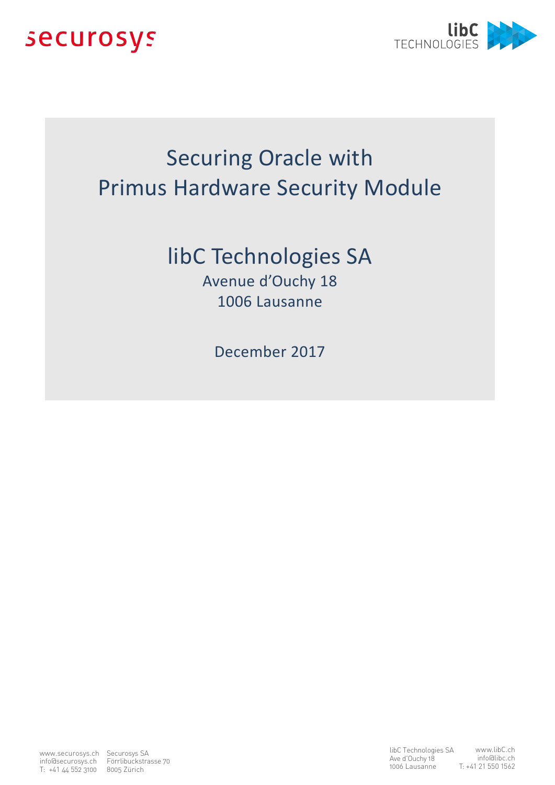



# Securing Oracle with Primus Hardware Security Module

## libC Technologies SA

Avenue d'Ouchy 18 1006 Lausanne

December 2017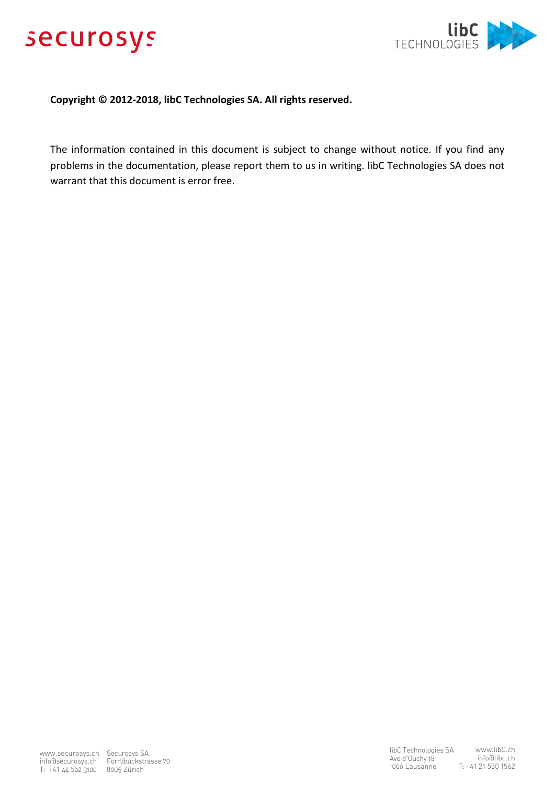



#### **Copyright © 2012-2018, libC Technologies SA. All rights reserved.**

The information contained in this document is subject to change without notice. If you find any problems in the documentation, please report them to us in writing. libC Technologies SA does not warrant that this document is error free.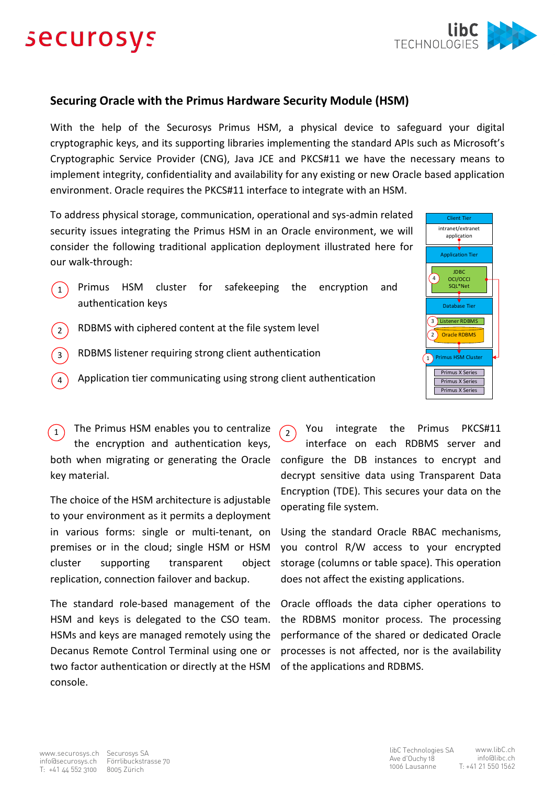# securosys



### **Securing Oracle with the Primus Hardware Security Module (HSM)**

With the help of the Securosys Primus HSM, a physical device to safeguard your digital cryptographic keys, and its supporting libraries implementing the standard APIs such as Microsoft's Cryptographic Service Provider (CNG), Java JCE and PKCS#11 we have the necessary means to implement integrity, confidentiality and availability for any existing or new Oracle based application environment. Oracle requires the PKCS#11 interface to integrate with an HSM.

To address physical storage, communication, operational and sys-admin related security issues integrating the Primus HSM in an Oracle environment, we will consider the following traditional application deployment illustrated here for our walk-through:

- Primus HSM cluster for safekeeping the encryption and authentication keys  $(1)$
- RDBMS with ciphered content at the file system level  $\left( \frac{1}{2} \right)$
- RDBMS listener requiring strong client authentication 3
- Application tier communicating using strong client authentication 4

1) The Primus HSM enables you to centralize  $\sqrt{2}$ the encryption and authentication keys, both when migrating or generating the Oracle key material.

The choice of the HSM architecture is adjustable to your environment as it permits a deployment in various forms: single or multi-tenant, on premises or in the cloud; single HSM or HSM cluster supporting transparent object replication, connection failover and backup.

The standard role-based management of the HSM and keys is delegated to the CSO team. HSMs and keys are managed remotely using the Decanus Remote Control Terminal using one or two factor authentication or directly at the HSM console.

You integrate the Primus PKCS#11 interface on each RDBMS server and configure the DB instances to encrypt and decrypt sensitive data using Transparent Data Encryption (TDE). This secures your data on the operating file system.

Using the standard Oracle RBAC mechanisms, you control R/W access to your encrypted storage (columns or table space). This operation does not affect the existing applications.

Oracle offloads the data cipher operations to the RDBMS monitor process. The processing performance of the shared or dedicated Oracle processes is not affected, nor is the availability of the applications and RDBMS.